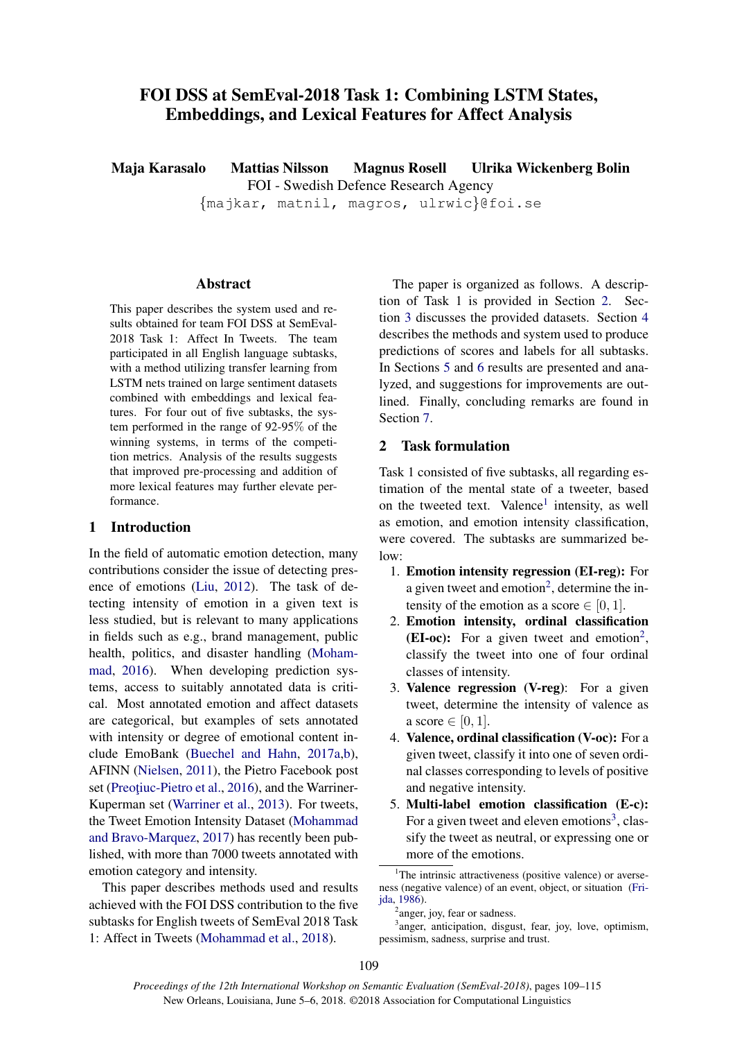# FOI DSS at SemEval-2018 Task 1: Combining LSTM States, Embeddings, and Lexical Features for Affect Analysis

Maja Karasalo Mattias Nilsson Magnus Rosell Ulrika Wickenberg Bolin

FOI - Swedish Defence Research Agency

{majkar, matnil, magros, ulrwic}@foi.se

## Abstract

This paper describes the system used and results obtained for team FOI DSS at SemEval-2018 Task 1: Affect In Tweets. The team participated in all English language subtasks, with a method utilizing transfer learning from LSTM nets trained on large sentiment datasets combined with embeddings and lexical features. For four out of five subtasks, the system performed in the range of 92-95% of the winning systems, in terms of the competition metrics. Analysis of the results suggests that improved pre-processing and addition of more lexical features may further elevate performance.

## 1 Introduction

In the field of automatic emotion detection, many contributions consider the issue of detecting presence of emotions (Liu, 2012). The task of detecting intensity of emotion in a given text is less studied, but is relevant to many applications in fields such as e.g., brand management, public health, politics, and disaster handling (Mohammad, 2016). When developing prediction systems, access to suitably annotated data is critical. Most annotated emotion and affect datasets are categorical, but examples of sets annotated with intensity or degree of emotional content include EmoBank (Buechel and Hahn, 2017a,b), AFINN (Nielsen, 2011), the Pietro Facebook post set (Preotiuc-Pietro et al., 2016), and the Warriner-Kuperman set (Warriner et al., 2013). For tweets, the Tweet Emotion Intensity Dataset (Mohammad and Bravo-Marquez, 2017) has recently been published, with more than 7000 tweets annotated with emotion category and intensity.

This paper describes methods used and results achieved with the FOI DSS contribution to the five subtasks for English tweets of SemEval 2018 Task 1: Affect in Tweets (Mohammad et al., 2018).

The paper is organized as follows. A description of Task 1 is provided in Section 2. Section 3 discusses the provided datasets. Section 4 describes the methods and system used to produce predictions of scores and labels for all subtasks. In Sections 5 and 6 results are presented and analyzed, and suggestions for improvements are outlined. Finally, concluding remarks are found in Section 7.

## 2 Task formulation

Task 1 consisted of five subtasks, all regarding estimation of the mental state of a tweeter, based on the tweeted text. Valence<sup>1</sup> intensity, as well as emotion, and emotion intensity classification, were covered. The subtasks are summarized below:

- 1. Emotion intensity regression (EI-reg): For a given tweet and emotion<sup>2</sup>, determine the intensity of the emotion as a score  $\in [0, 1]$ .
- 2. Emotion intensity, ordinal classification (EI-oc): For a given tweet and emotion<sup>2</sup>, classify the tweet into one of four ordinal classes of intensity.
- 3. Valence regression (V-reg): For a given tweet, determine the intensity of valence as a score  $\in [0, 1]$ .
- 4. Valence, ordinal classification (V-oc): For a given tweet, classify it into one of seven ordinal classes corresponding to levels of positive and negative intensity.
- 5. Multi-label emotion classification (E-c): For a given tweet and eleven emotions<sup>3</sup>, classify the tweet as neutral, or expressing one or more of the emotions.

<sup>&</sup>lt;sup>1</sup>The intrinsic attractiveness (positive valence) or averseness (negative valence) of an event, object, or situation (Frijda, 1986).

<sup>&</sup>lt;sup>2</sup>anger, joy, fear or sadness.

<sup>&</sup>lt;sup>3</sup>anger, anticipation, disgust, fear, joy, love, optimism, pessimism, sadness, surprise and trust.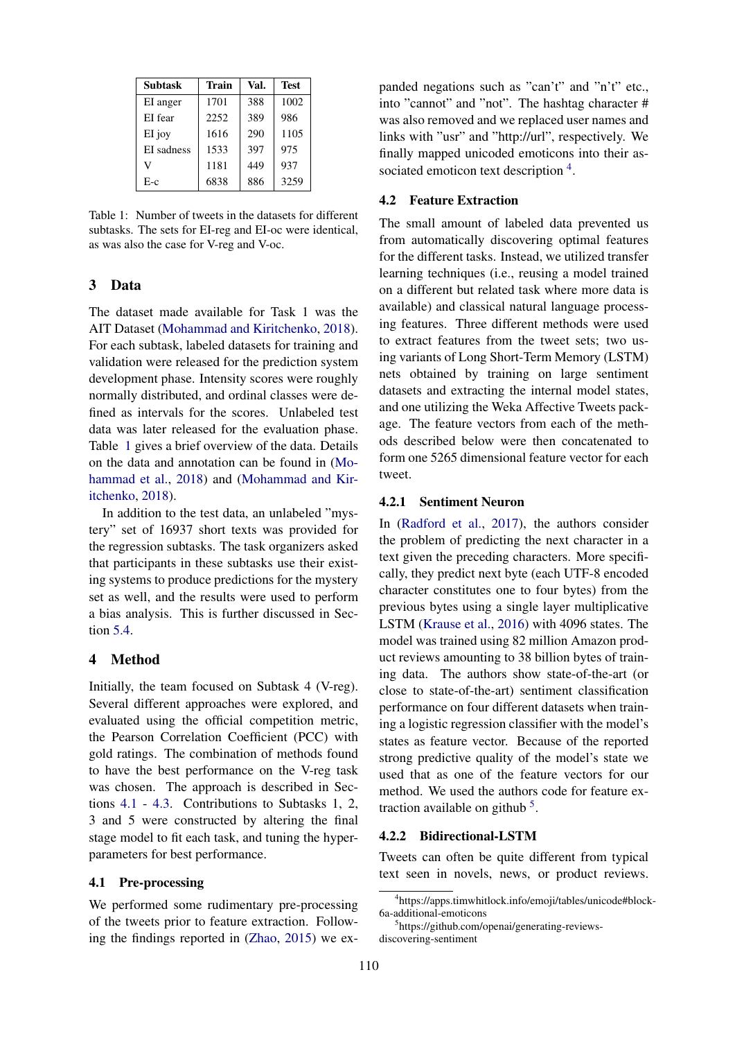| <b>Subtask</b> | Train | Val. | <b>Test</b> |
|----------------|-------|------|-------------|
| EI anger       | 1701  | 388  | 1002        |
| EI fear        | 2252  | 389  | 986         |
| EI joy         | 1616  | 290  | 1105        |
| EI sadness     | 1533  | 397  | 975         |
| V              | 1181  | 449  | 937         |
| $E-c$          | 6838  | 886  | 3259        |

Table 1: Number of tweets in the datasets for different subtasks. The sets for EI-reg and EI-oc were identical, as was also the case for V-reg and V-oc.

### 3 Data

The dataset made available for Task 1 was the AIT Dataset (Mohammad and Kiritchenko, 2018). For each subtask, labeled datasets for training and validation were released for the prediction system development phase. Intensity scores were roughly normally distributed, and ordinal classes were defined as intervals for the scores. Unlabeled test data was later released for the evaluation phase. Table 1 gives a brief overview of the data. Details on the data and annotation can be found in (Mohammad et al., 2018) and (Mohammad and Kiritchenko, 2018).

In addition to the test data, an unlabeled "mystery" set of 16937 short texts was provided for the regression subtasks. The task organizers asked that participants in these subtasks use their existing systems to produce predictions for the mystery set as well, and the results were used to perform a bias analysis. This is further discussed in Section 5.4.

## 4 Method

Initially, the team focused on Subtask 4 (V-reg). Several different approaches were explored, and evaluated using the official competition metric, the Pearson Correlation Coefficient (PCC) with gold ratings. The combination of methods found to have the best performance on the V-reg task was chosen. The approach is described in Sections 4.1 - 4.3. Contributions to Subtasks 1, 2, 3 and 5 were constructed by altering the final stage model to fit each task, and tuning the hyperparameters for best performance.

### 4.1 Pre-processing

We performed some rudimentary pre-processing of the tweets prior to feature extraction. Following the findings reported in (Zhao, 2015) we expanded negations such as "can't" and "n't" etc., into "cannot" and "not". The hashtag character # was also removed and we replaced user names and links with "usr" and "http://url", respectively. We finally mapped unicoded emoticons into their associated emoticon text description <sup>4</sup>.

## 4.2 Feature Extraction

The small amount of labeled data prevented us from automatically discovering optimal features for the different tasks. Instead, we utilized transfer learning techniques (i.e., reusing a model trained on a different but related task where more data is available) and classical natural language processing features. Three different methods were used to extract features from the tweet sets; two using variants of Long Short-Term Memory (LSTM) nets obtained by training on large sentiment datasets and extracting the internal model states, and one utilizing the Weka Affective Tweets package. The feature vectors from each of the methods described below were then concatenated to form one 5265 dimensional feature vector for each tweet.

#### 4.2.1 Sentiment Neuron

In (Radford et al., 2017), the authors consider the problem of predicting the next character in a text given the preceding characters. More specifically, they predict next byte (each UTF-8 encoded character constitutes one to four bytes) from the previous bytes using a single layer multiplicative LSTM (Krause et al., 2016) with 4096 states. The model was trained using 82 million Amazon product reviews amounting to 38 billion bytes of training data. The authors show state-of-the-art (or close to state-of-the-art) sentiment classification performance on four different datasets when training a logistic regression classifier with the model's states as feature vector. Because of the reported strong predictive quality of the model's state we used that as one of the feature vectors for our method. We used the authors code for feature extraction available on github  $5$ .

#### 4.2.2 Bidirectional-LSTM

Tweets can often be quite different from typical text seen in novels, news, or product reviews.

<sup>4</sup> https://apps.timwhitlock.info/emoji/tables/unicode#block-6a-additional-emoticons

<sup>5</sup> https://github.com/openai/generating-reviewsdiscovering-sentiment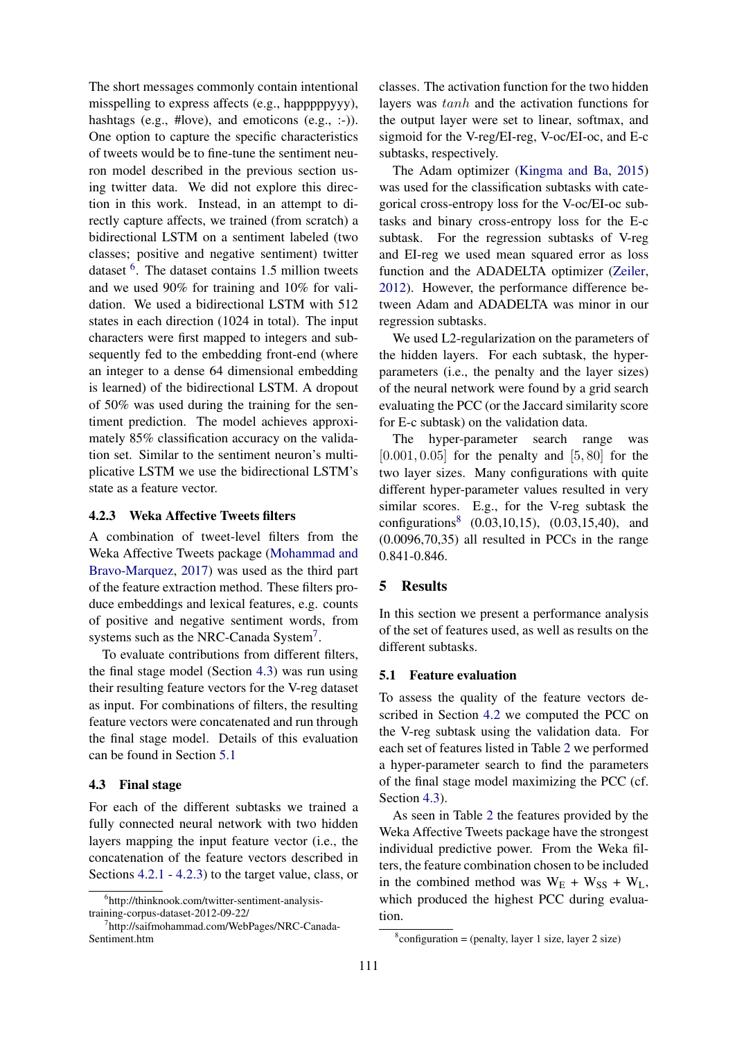The short messages commonly contain intentional misspelling to express affects (e.g., happpppyyy), hashtags (e.g., #love), and emoticons (e.g., :-)). One option to capture the specific characteristics of tweets would be to fine-tune the sentiment neuron model described in the previous section using twitter data. We did not explore this direction in this work. Instead, in an attempt to directly capture affects, we trained (from scratch) a bidirectional LSTM on a sentiment labeled (two classes; positive and negative sentiment) twitter dataset <sup>6</sup>. The dataset contains 1.5 million tweets and we used 90% for training and 10% for validation. We used a bidirectional LSTM with 512 states in each direction (1024 in total). The input characters were first mapped to integers and subsequently fed to the embedding front-end (where an integer to a dense 64 dimensional embedding is learned) of the bidirectional LSTM. A dropout of 50% was used during the training for the sentiment prediction. The model achieves approximately 85% classification accuracy on the validation set. Similar to the sentiment neuron's multiplicative LSTM we use the bidirectional LSTM's state as a feature vector.

## 4.2.3 Weka Affective Tweets filters

A combination of tweet-level filters from the Weka Affective Tweets package (Mohammad and Bravo-Marquez, 2017) was used as the third part of the feature extraction method. These filters produce embeddings and lexical features, e.g. counts of positive and negative sentiment words, from systems such as the NRC-Canada System<sup>7</sup>.

To evaluate contributions from different filters, the final stage model (Section 4.3) was run using their resulting feature vectors for the V-reg dataset as input. For combinations of filters, the resulting feature vectors were concatenated and run through the final stage model. Details of this evaluation can be found in Section 5.1

#### 4.3 Final stage

For each of the different subtasks we trained a fully connected neural network with two hidden layers mapping the input feature vector (i.e., the concatenation of the feature vectors described in Sections 4.2.1 - 4.2.3) to the target value, class, or

classes. The activation function for the two hidden layers was tanh and the activation functions for the output layer were set to linear, softmax, and sigmoid for the V-reg/EI-reg, V-oc/EI-oc, and E-c subtasks, respectively.

The Adam optimizer (Kingma and Ba, 2015) was used for the classification subtasks with categorical cross-entropy loss for the V-oc/EI-oc subtasks and binary cross-entropy loss for the E-c subtask. For the regression subtasks of V-reg and EI-reg we used mean squared error as loss function and the ADADELTA optimizer (Zeiler, 2012). However, the performance difference between Adam and ADADELTA was minor in our regression subtasks.

We used L2-regularization on the parameters of the hidden layers. For each subtask, the hyperparameters (i.e., the penalty and the layer sizes) of the neural network were found by a grid search evaluating the PCC (or the Jaccard similarity score for E-c subtask) on the validation data.

The hyper-parameter search range was  $[0.001, 0.05]$  for the penalty and  $[5, 80]$  for the two layer sizes. Many configurations with quite different hyper-parameter values resulted in very similar scores. E.g., for the V-reg subtask the configurations<sup>8</sup> (0.03,10,15), (0.03,15,40), and (0.0096,70,35) all resulted in PCCs in the range 0.841-0.846.

## 5 Results

In this section we present a performance analysis of the set of features used, as well as results on the different subtasks.

#### 5.1 Feature evaluation

To assess the quality of the feature vectors described in Section 4.2 we computed the PCC on the V-reg subtask using the validation data. For each set of features listed in Table 2 we performed a hyper-parameter search to find the parameters of the final stage model maximizing the PCC (cf. Section 4.3).

As seen in Table 2 the features provided by the Weka Affective Tweets package have the strongest individual predictive power. From the Weka filters, the feature combination chosen to be included in the combined method was  $W_E + W_{SS} + W_L$ , which produced the highest PCC during evaluation.

<sup>6</sup> http://thinknook.com/twitter-sentiment-analysistraining-corpus-dataset-2012-09-22/

<sup>7</sup> http://saifmohammad.com/WebPages/NRC-Canada-Sentiment.htm

 $\text{8}$ configuration = (penalty, layer 1 size, layer 2 size)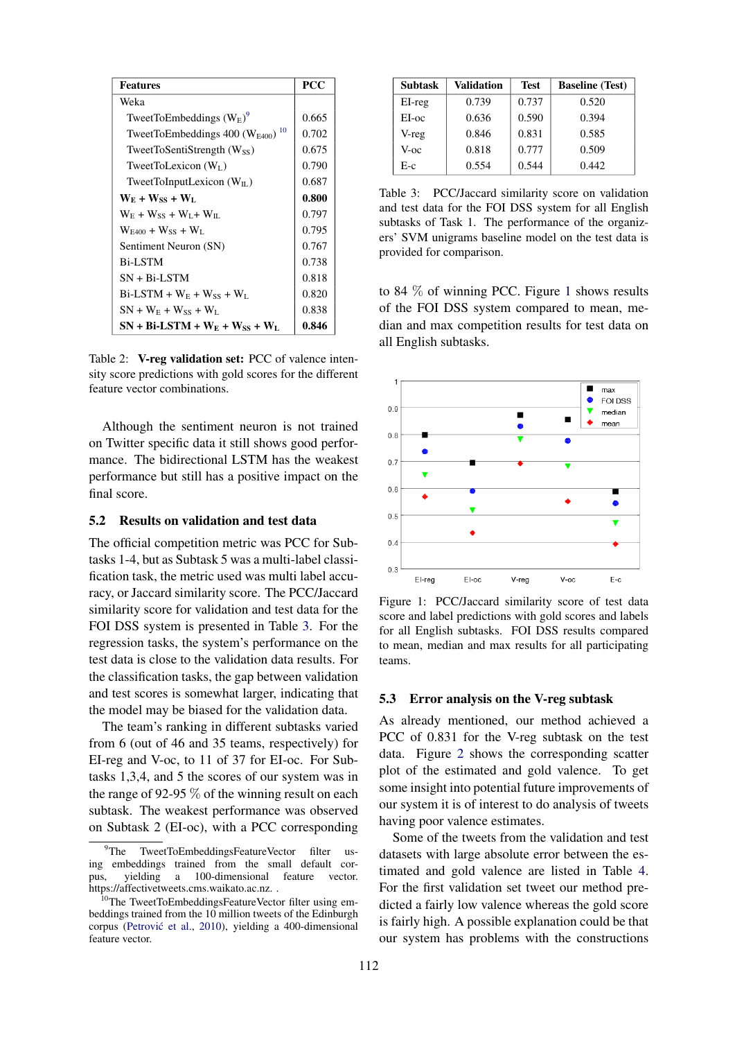| <b>Features</b>                                                | <b>PCC</b> |  |
|----------------------------------------------------------------|------------|--|
| Weka                                                           |            |  |
| TweetToEmbeddings $(W_{E})^9$                                  | 0.665      |  |
| TweetToEmbeddings $400$ (W <sub>E400</sub> ) <sup>10</sup>     | 0.702      |  |
| TweetToSentiStrength $(W_{SS})$                                | 0.675      |  |
| TweetToLexicon $(W_L)$                                         | 0.790      |  |
| TweetToInputLexicon $(W_{II})$                                 | 0.687      |  |
| $W_{E} + W_{SS} + W_{L}$                                       | 0.800      |  |
| $W_{\rm E}$ + $W_{\rm SS}$ + $W_{\rm I}$ + $W_{\rm II}$        | 0.797      |  |
| $W_{F400} + W_{SS} + W_L$                                      | 0.795      |  |
| Sentiment Neuron (SN)                                          | 0.767      |  |
| <b>Bi-LSTM</b>                                                 | 0.738      |  |
| $SN + Bi-LSTM$                                                 | 0.818      |  |
| $Bi$ -LSTM + W <sub>E</sub> + W <sub>SS</sub> + W <sub>L</sub> | 0.820      |  |
| $SN + W_E + W_{SS} + W_L$                                      | 0.838      |  |
| $SN + Bi-LSTM + W_E + W_{SS} + W_L$                            | 0.846      |  |

Table 2: V-reg validation set: PCC of valence intensity score predictions with gold scores for the different feature vector combinations.

Although the sentiment neuron is not trained on Twitter specific data it still shows good performance. The bidirectional LSTM has the weakest performance but still has a positive impact on the final score.

## 5.2 Results on validation and test data

The official competition metric was PCC for Subtasks 1-4, but as Subtask 5 was a multi-label classification task, the metric used was multi label accuracy, or Jaccard similarity score. The PCC/Jaccard similarity score for validation and test data for the FOI DSS system is presented in Table 3. For the regression tasks, the system's performance on the test data is close to the validation data results. For the classification tasks, the gap between validation and test scores is somewhat larger, indicating that the model may be biased for the validation data.

The team's ranking in different subtasks varied from 6 (out of 46 and 35 teams, respectively) for EI-reg and V-oc, to 11 of 37 for EI-oc. For Subtasks 1,3,4, and 5 the scores of our system was in the range of 92-95  $\%$  of the winning result on each subtask. The weakest performance was observed on Subtask 2 (EI-oc), with a PCC corresponding

| <b>Subtask</b> | <b>Validation</b> | <b>Test</b> | <b>Baseline</b> (Test) |
|----------------|-------------------|-------------|------------------------|
| $EI-reg$       | 0.739             | 0.737       | 0.520                  |
| EI-oc          | 0.636             | 0.590       | 0.394                  |
| V-reg          | 0.846             | 0.831       | 0.585                  |
| V-oc           | 0.818             | 0.777       | 0.509                  |
| E-c            | 0.554             | 0.544       | 0.442                  |

Table 3: PCC/Jaccard similarity score on validation and test data for the FOI DSS system for all English subtasks of Task 1. The performance of the organizers' SVM unigrams baseline model on the test data is provided for comparison.

to 84  $\%$  of winning PCC. Figure 1 shows results of the FOI DSS system compared to mean, median and max competition results for test data on all English subtasks.



Figure 1: PCC/Jaccard similarity score of test data score and label predictions with gold scores and labels for all English subtasks. FOI DSS results compared to mean, median and max results for all participating teams.

## 5.3 Error analysis on the V-reg subtask

As already mentioned, our method achieved a PCC of 0.831 for the V-reg subtask on the test data. Figure 2 shows the corresponding scatter plot of the estimated and gold valence. To get some insight into potential future improvements of our system it is of interest to do analysis of tweets having poor valence estimates.

Some of the tweets from the validation and test datasets with large absolute error between the estimated and gold valence are listed in Table 4. For the first validation set tweet our method predicted a fairly low valence whereas the gold score is fairly high. A possible explanation could be that our system has problems with the constructions

<sup>9</sup>The TweetToEmbeddingsFeatureVector filter using embeddings trained from the small default corpus, yielding a 100-dimensional feature vector. https://affectivetweets.cms.waikato.ac.nz. .

<sup>10</sup>The TweetToEmbeddingsFeatureVector filter using embeddings trained from the 10 million tweets of the Edinburgh corpus (Petrović et al., 2010), yielding a 400-dimensional feature vector.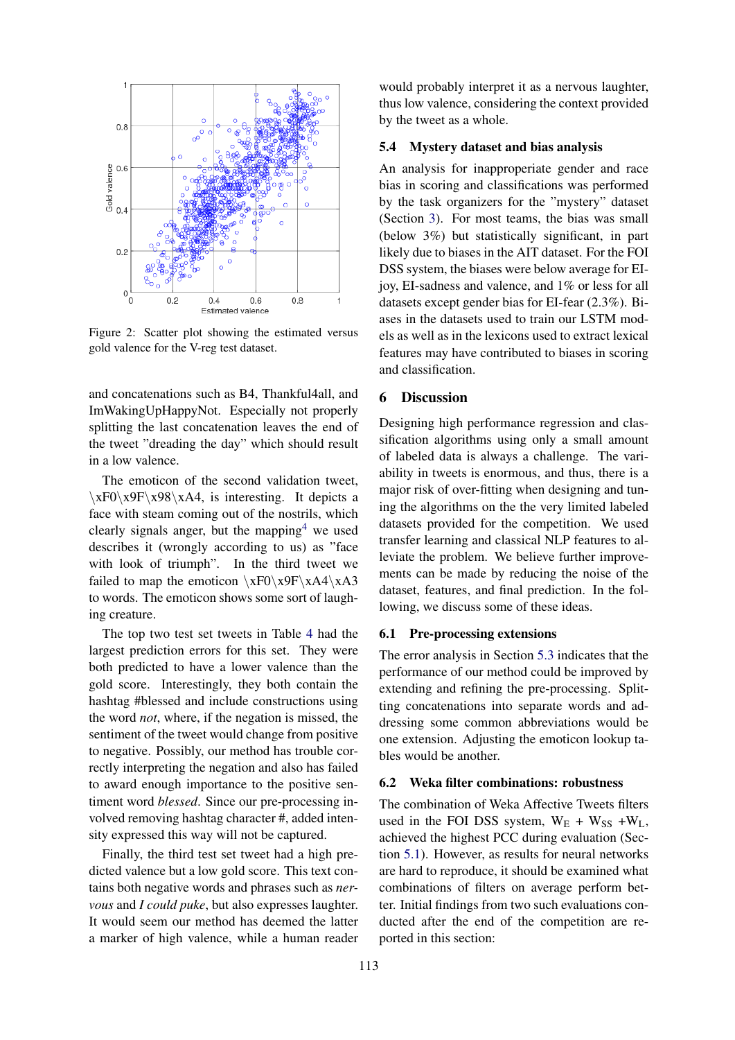

Figure 2: Scatter plot showing the estimated versus gold valence for the V-reg test dataset.

and concatenations such as B4, Thankful4all, and ImWakingUpHappyNot. Especially not properly splitting the last concatenation leaves the end of the tweet "dreading the day" which should result in a low valence.

The emoticon of the second validation tweet,  $\xF0\x9F\x98\xA4$ , is interesting. It depicts a face with steam coming out of the nostrils, which clearly signals anger, but the mapping<sup>4</sup> we used describes it (wrongly according to us) as "face with look of triumph". In the third tweet we failed to map the emoticon  $\xF0\x9F\xA4\xA3$ to words. The emoticon shows some sort of laughing creature.

The top two test set tweets in Table 4 had the largest prediction errors for this set. They were both predicted to have a lower valence than the gold score. Interestingly, they both contain the hashtag #blessed and include constructions using the word *not*, where, if the negation is missed, the sentiment of the tweet would change from positive to negative. Possibly, our method has trouble correctly interpreting the negation and also has failed to award enough importance to the positive sentiment word *blessed*. Since our pre-processing involved removing hashtag character #, added intensity expressed this way will not be captured.

Finally, the third test set tweet had a high predicted valence but a low gold score. This text contains both negative words and phrases such as *nervous* and *I could puke*, but also expresses laughter. It would seem our method has deemed the latter a marker of high valence, while a human reader

would probably interpret it as a nervous laughter, thus low valence, considering the context provided by the tweet as a whole.

#### 5.4 Mystery dataset and bias analysis

An analysis for inapproperiate gender and race bias in scoring and classifications was performed by the task organizers for the "mystery" dataset (Section 3). For most teams, the bias was small (below 3%) but statistically significant, in part likely due to biases in the AIT dataset. For the FOI DSS system, the biases were below average for EIjoy, EI-sadness and valence, and 1% or less for all datasets except gender bias for EI-fear (2.3%). Biases in the datasets used to train our LSTM models as well as in the lexicons used to extract lexical features may have contributed to biases in scoring and classification.

## 6 Discussion

Designing high performance regression and classification algorithms using only a small amount of labeled data is always a challenge. The variability in tweets is enormous, and thus, there is a major risk of over-fitting when designing and tuning the algorithms on the the very limited labeled datasets provided for the competition. We used transfer learning and classical NLP features to alleviate the problem. We believe further improvements can be made by reducing the noise of the dataset, features, and final prediction. In the following, we discuss some of these ideas.

#### 6.1 Pre-processing extensions

The error analysis in Section 5.3 indicates that the performance of our method could be improved by extending and refining the pre-processing. Splitting concatenations into separate words and addressing some common abbreviations would be one extension. Adjusting the emoticon lookup tables would be another.

#### 6.2 Weka filter combinations: robustness

The combination of Weka Affective Tweets filters used in the FOI DSS system,  $W_E + W_{SS} + W_L$ , achieved the highest PCC during evaluation (Section 5.1). However, as results for neural networks are hard to reproduce, it should be examined what combinations of filters on average perform better. Initial findings from two such evaluations conducted after the end of the competition are reported in this section: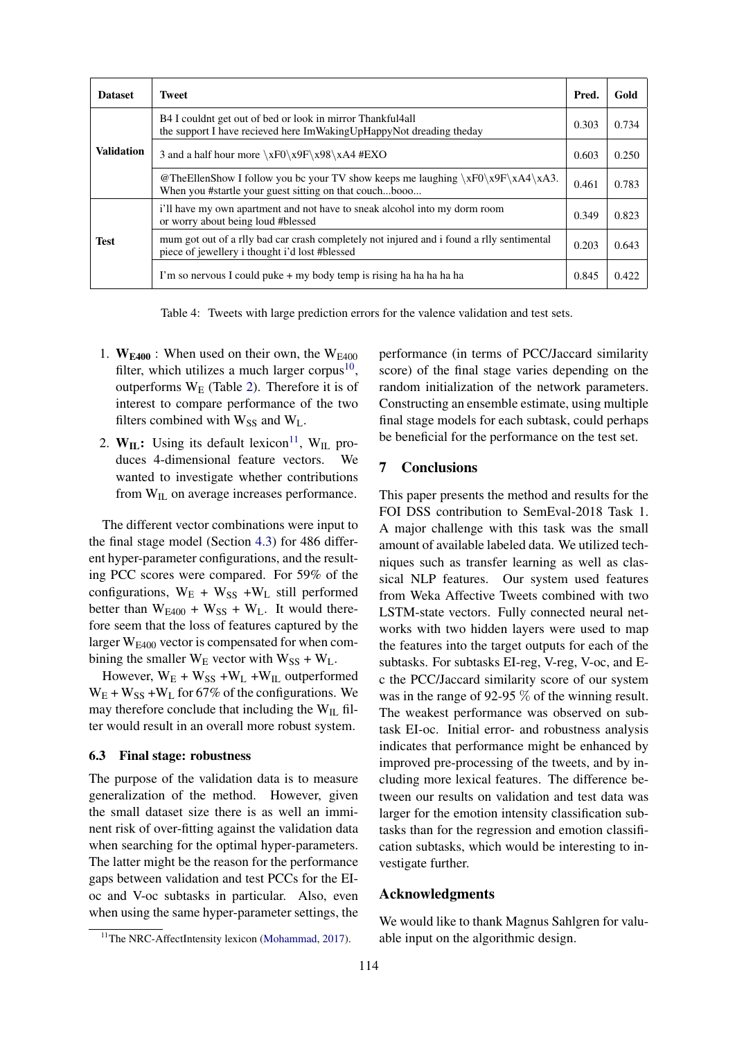| <b>Dataset</b>    | <b>Tweet</b>                                                                                                                                |       | Gold  |
|-------------------|---------------------------------------------------------------------------------------------------------------------------------------------|-------|-------|
| <b>Validation</b> | B4 I couldnt get out of bed or look in mirror Thankful 4 all<br>the support I have recieved here ImWakingUpHappyNot dreading theday         | 0.303 | 0.734 |
|                   | 3 and a half hour more $xF0\x9F\x98\xA4$ #EXO                                                                                               | 0.603 | 0.250 |
|                   | @TheEllenShow I follow you bc your TV show keeps me laughing $\xF0\x9F\xA4\xA3$ .<br>When you #startle your guest sitting on that couchbooo | 0.461 | 0.783 |
| <b>Test</b>       | i'll have my own apartment and not have to sneak alcohol into my dorm room<br>or worry about being loud #blessed                            | 0.349 | 0.823 |
|                   | mum got out of a rlly bad car crash completely not injured and i found a rlly sentimental<br>piece of jewellery i thought i'd lost #blessed |       | 0.643 |
|                   | I'm so nervous I could puke + my body temp is rising ha ha ha ha ha                                                                         | 0.845 | 0.422 |

Table 4: Tweets with large prediction errors for the valence validation and test sets.

- 1.  $W<sub>E400</sub>$ : When used on their own, the  $W<sub>E400</sub>$ filter, which utilizes a much larger corpus<sup>10</sup>, outperforms  $W_E$  (Table 2). Therefore it is of interest to compare performance of the two filters combined with  $W_{SS}$  and  $W_L$ .
- 2.  $W_{IL}$ : Using its default lexicon<sup>11</sup>, W<sub>IL</sub> produces 4-dimensional feature vectors. We wanted to investigate whether contributions from W<sub>IL</sub> on average increases performance.

The different vector combinations were input to the final stage model (Section 4.3) for 486 different hyper-parameter configurations, and the resulting PCC scores were compared. For 59% of the configurations,  $W_E + W_{SS} + W_L$  still performed better than  $W_{E400} + W_{SS} + W_L$ . It would therefore seem that the loss of features captured by the larger  $W<sub>F400</sub>$  vector is compensated for when combining the smaller  $W_E$  vector with  $W_{SS} + W_L$ .

However,  $W_E + W_{SS} + W_L + W_{IL}$  outperformed  $W_E + W_{SS} + W_L$  for 67% of the configurations. We may therefore conclude that including the  $W_{IL}$  filter would result in an overall more robust system.

## 6.3 Final stage: robustness

The purpose of the validation data is to measure generalization of the method. However, given the small dataset size there is as well an imminent risk of over-fitting against the validation data when searching for the optimal hyper-parameters. The latter might be the reason for the performance gaps between validation and test PCCs for the EIoc and V-oc subtasks in particular. Also, even when using the same hyper-parameter settings, the performance (in terms of PCC/Jaccard similarity score) of the final stage varies depending on the random initialization of the network parameters. Constructing an ensemble estimate, using multiple final stage models for each subtask, could perhaps be beneficial for the performance on the test set.

## 7 Conclusions

This paper presents the method and results for the FOI DSS contribution to SemEval-2018 Task 1. A major challenge with this task was the small amount of available labeled data. We utilized techniques such as transfer learning as well as classical NLP features. Our system used features from Weka Affective Tweets combined with two LSTM-state vectors. Fully connected neural networks with two hidden layers were used to map the features into the target outputs for each of the subtasks. For subtasks EI-reg, V-reg, V-oc, and Ec the PCC/Jaccard similarity score of our system was in the range of 92-95 % of the winning result. The weakest performance was observed on subtask EI-oc. Initial error- and robustness analysis indicates that performance might be enhanced by improved pre-processing of the tweets, and by including more lexical features. The difference between our results on validation and test data was larger for the emotion intensity classification subtasks than for the regression and emotion classification subtasks, which would be interesting to investigate further.

## Acknowledgments

We would like to thank Magnus Sahlgren for valuable input on the algorithmic design.

<sup>&</sup>lt;sup>11</sup>The NRC-AffectIntensity lexicon (Mohammad, 2017).